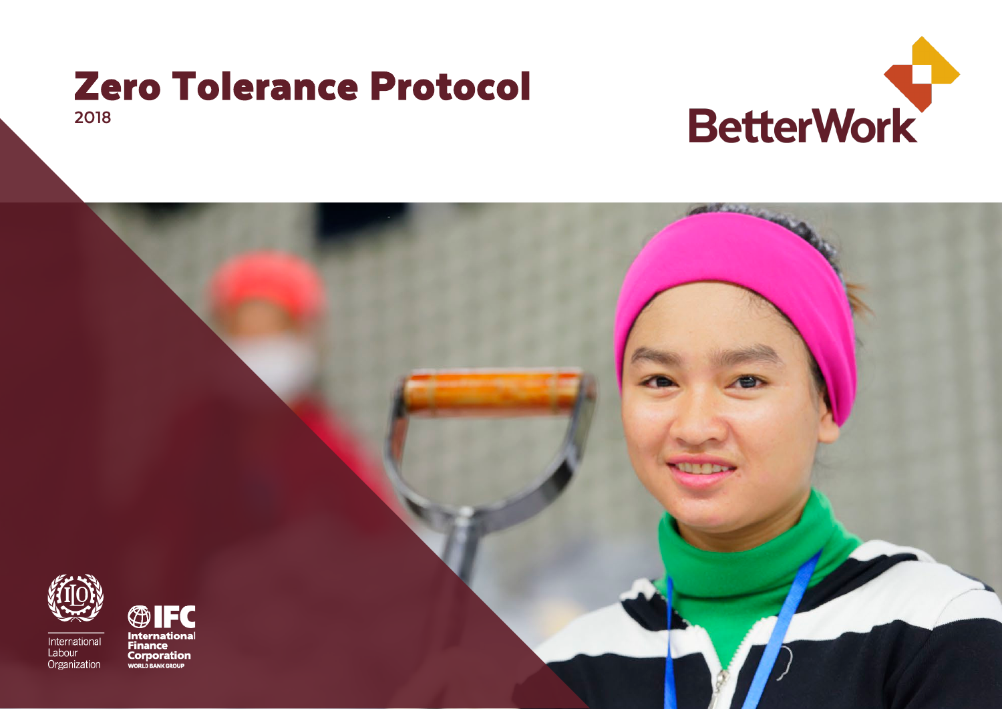# Zero Tolerance Protocol **2018**



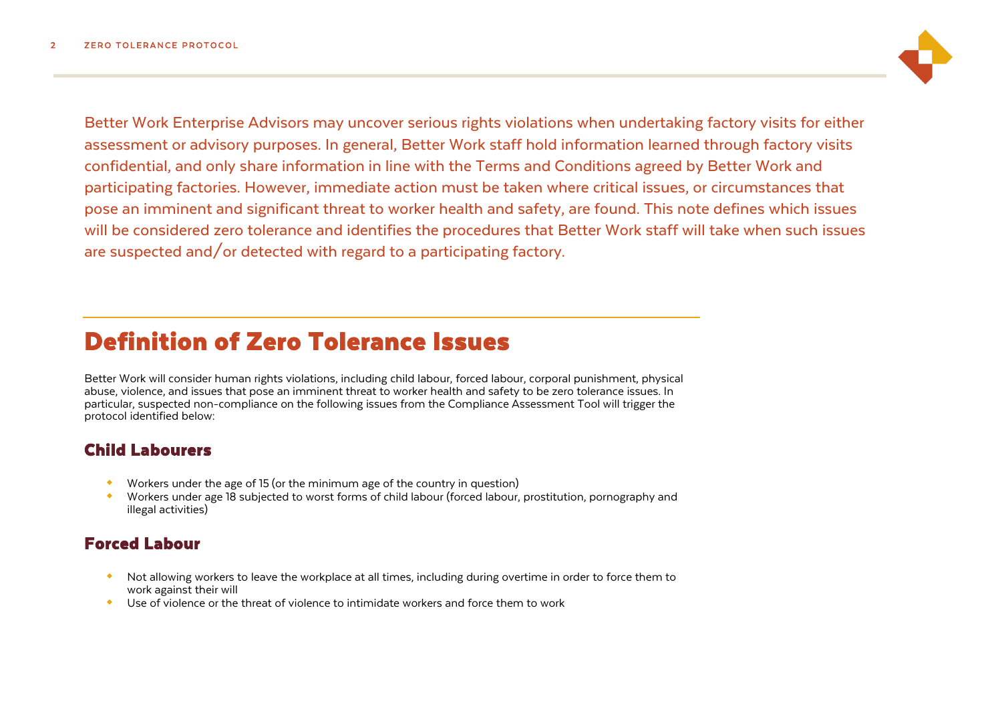

Better Work Enterprise Advisors may uncover serious rights violations when undertaking factory visits for either assessment or advisory purposes. In general, Better Work staff hold information learned through factory visits confidential, and only share information in line with the Terms and Conditions agreed by Better Work and participating factories. However, immediate action must be taken where critical issues, or circumstances that pose an imminent and significant threat to worker health and safety, are found. This note defines which issues will be considered zero tolerance and identifies the procedures that Better Work staff will take when such issues are suspected and/or detected with regard to a participating factory.

# Definition of Zero Tolerance Issues

Better Work will consider human rights violations, including child labour, forced labour, corporal punishment, physical abuse, violence, and issues that pose an imminent threat to worker health and safety to be zero tolerance issues. In particular, suspected non-compliance on the following issues from the Compliance Assessment Tool will trigger the protocol identified below:

### Child Labourers

- Workers under the age of 15 (or the minimum age of the country in question)
- Workers under age 18 subjected to worst forms of child labour (forced labour, prostitution, pornography and illegal activities)

## Forced Labour

- Not allowing workers to leave the workplace at all times, including during overtime in order to force them to work against their will
- Use of violence or the threat of violence to intimidate workers and force them to work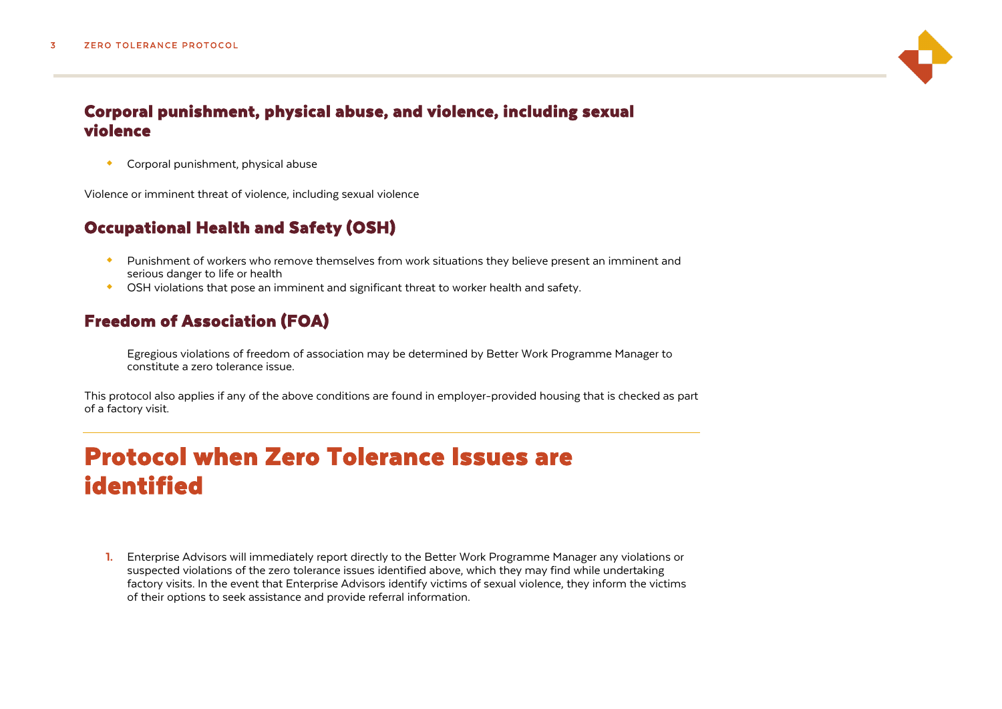#### Corporal punishment, physical abuse, and violence, including sexual violence

**Corporal punishment, physical abuse** 

Violence or imminent threat of violence, including sexual violence

## Occupational Health and Safety (OSH)

- Punishment of workers who remove themselves from work situations they believe present an imminent and serious danger to life or health
- OSH violations that pose an imminent and significant threat to worker health and safety.

## Freedom of Association (FOA)

Egregious violations of freedom of association may be determined by Better Work Programme Manager to constitute a zero tolerance issue.

This protocol also applies if any of the above conditions are found in employer-provided housing that is checked as part of a factory visit.

# Protocol when Zero Tolerance Issues are identified

1. Enterprise Advisors will immediately report directly to the Better Work Programme Manager any violations or suspected violations of the zero tolerance issues identified above, which they may find while undertaking factory visits. In the event that Enterprise Advisors identify victims of sexual violence, they inform the victims of their options to seek assistance and provide referral information.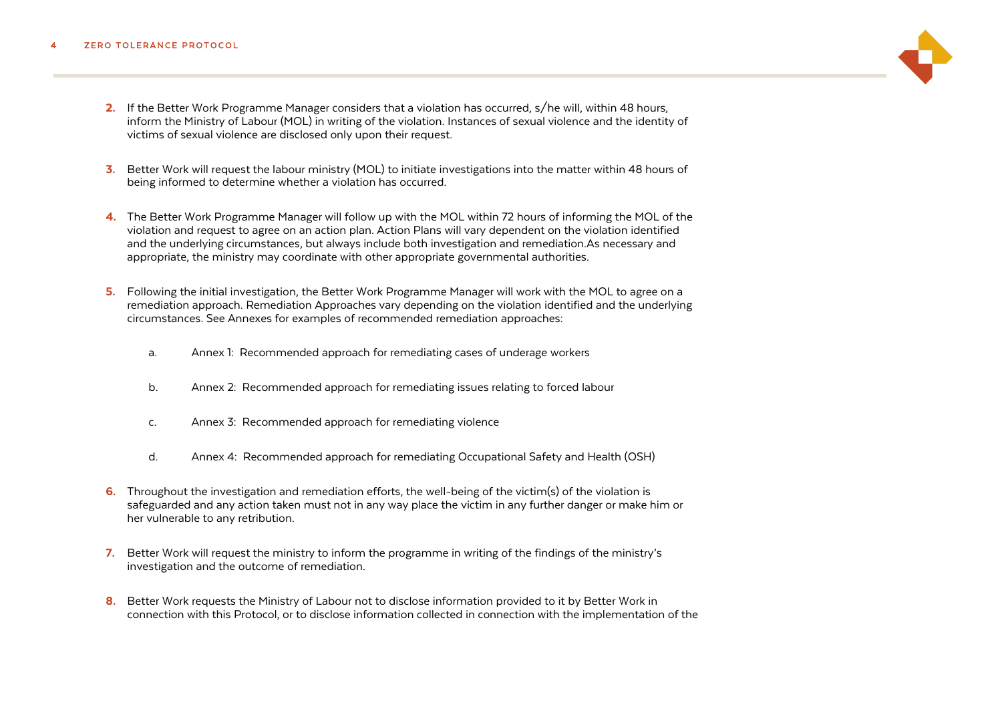- 2. If the Better Work Programme Manager considers that a violation has occurred, s/he will, within 48 hours, inform the Ministry of Labour (MOL) in writing of the violation. Instances of sexual violence and the identity of victims of sexual violence are disclosed only upon their request.
- 3. Better Work will request the labour ministry (MOL) to initiate investigations into the matter within 48 hours of being informed to determine whether a violation has occurred.
- 4. The Better Work Programme Manager will follow up with the MOL within 72 hours of informing the MOL of the violation and request to agree on an action plan. Action Plans will vary dependent on the violation identified and the underlying circumstances, but always include both investigation and remediation.As necessary and appropriate, the ministry may coordinate with other appropriate governmental authorities.
- 5. Following the initial investigation, the Better Work Programme Manager will work with the MOL to agree on a remediation approach. Remediation Approaches vary depending on the violation identified and the underlying circumstances. See Annexes for examples of recommended remediation approaches:
	- a. Annex 1: Recommended approach for remediating cases of underage workers
	- b. Annex 2: Recommended approach for remediating issues relating to forced labour
	- c. Annex 3: Recommended approach for remediating violence
	- d. Annex 4: Recommended approach for remediating Occupational Safety and Health (OSH)
- 6. Throughout the investigation and remediation efforts, the well-being of the victim(s) of the violation is safeguarded and any action taken must not in any way place the victim in any further danger or make him or her vulnerable to any retribution.
- 7. Better Work will request the ministry to inform the programme in writing of the findings of the ministry's investigation and the outcome of remediation.
- 8. Better Work requests the Ministry of Labour not to disclose information provided to it by Better Work in connection with this Protocol, or to disclose information collected in connection with the implementation of the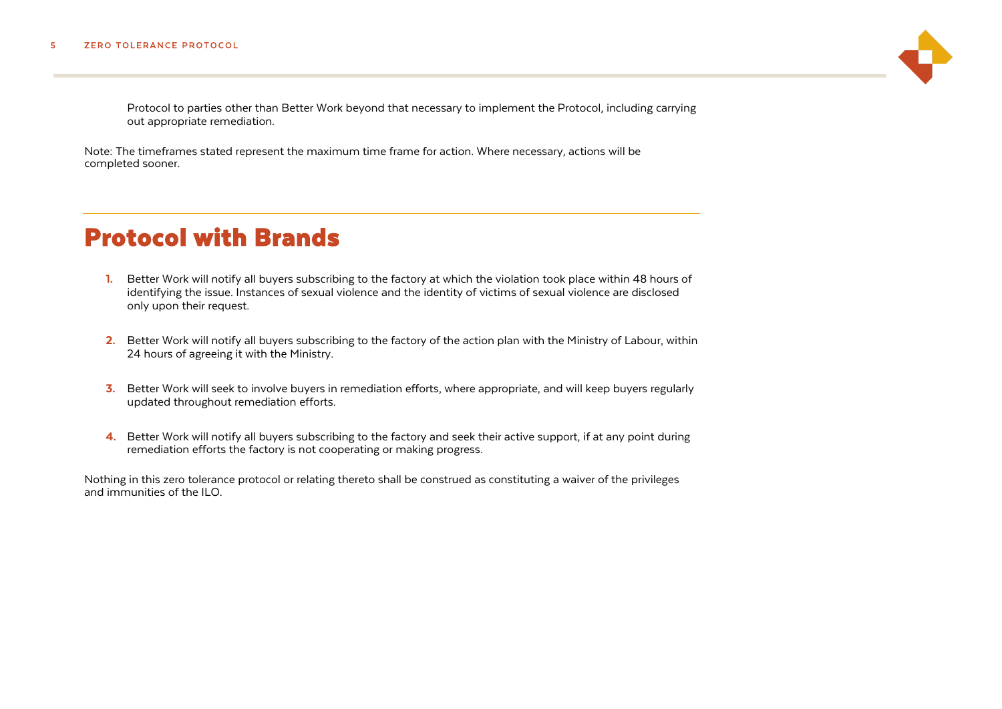

Protocol to parties other than Better Work beyond that necessary to implement the Protocol, including carrying out appropriate remediation.

Note: The timeframes stated represent the maximum time frame for action. Where necessary, actions will be completed sooner.

# Protocol with Brands

- 1. Better Work will notify all buyers subscribing to the factory at which the violation took place within 48 hours of identifying the issue. Instances of sexual violence and the identity of victims of sexual violence are disclosed only upon their request.
- 2. Better Work will notify all buyers subscribing to the factory of the action plan with the Ministry of Labour, within 24 hours of agreeing it with the Ministry.
- 3. Better Work will seek to involve buyers in remediation efforts, where appropriate, and will keep buyers regularly updated throughout remediation efforts.
- 4. Better Work will notify all buyers subscribing to the factory and seek their active support, if at any point during remediation efforts the factory is not cooperating or making progress.

Nothing in this zero tolerance protocol or relating thereto shall be construed as constituting a waiver of the privileges and immunities of the ILO.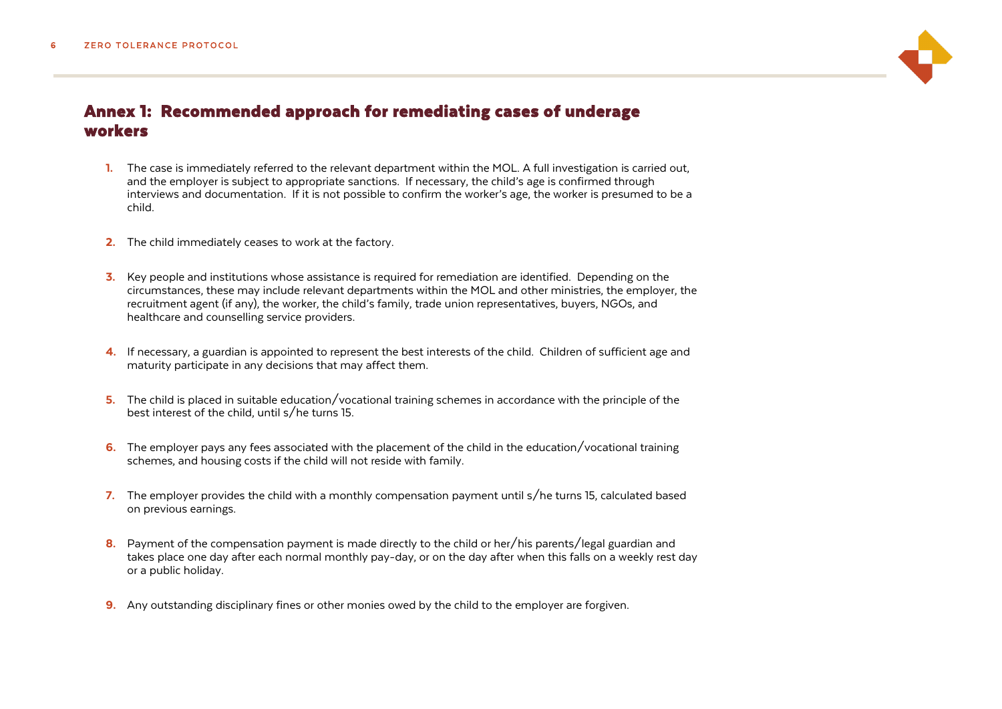

#### Annex 1: Recommended approach for remediating cases of underage workers

- 1. The case is immediately referred to the relevant department within the MOL. A full investigation is carried out, and the employer is subject to appropriate sanctions. If necessary, the child's age is confirmed through interviews and documentation. If it is not possible to confirm the worker's age, the worker is presumed to be a child.
- 2. The child immediately ceases to work at the factory.
- 3. Key people and institutions whose assistance is required for remediation are identified. Depending on the circumstances, these may include relevant departments within the MOL and other ministries, the employer, the recruitment agent (if any), the worker, the child's family, trade union representatives, buyers, NGOs, and healthcare and counselling service providers.
- 4. If necessary, a guardian is appointed to represent the best interests of the child. Children of sufficient age and maturity participate in any decisions that may affect them.
- 5. The child is placed in suitable education/vocational training schemes in accordance with the principle of the best interest of the child, until s/he turns 15.
- 6. The employer pays any fees associated with the placement of the child in the education/vocational training schemes, and housing costs if the child will not reside with family.
- 7. The employer provides the child with a monthly compensation payment until  $s/h$ e turns 15, calculated based on previous earnings.
- 8. Payment of the compensation payment is made directly to the child or her/his parents/legal guardian and takes place one day after each normal monthly pay-day, or on the day after when this falls on a weekly rest day or a public holiday.
- 9. Any outstanding disciplinary fines or other monies owed by the child to the employer are forgiven.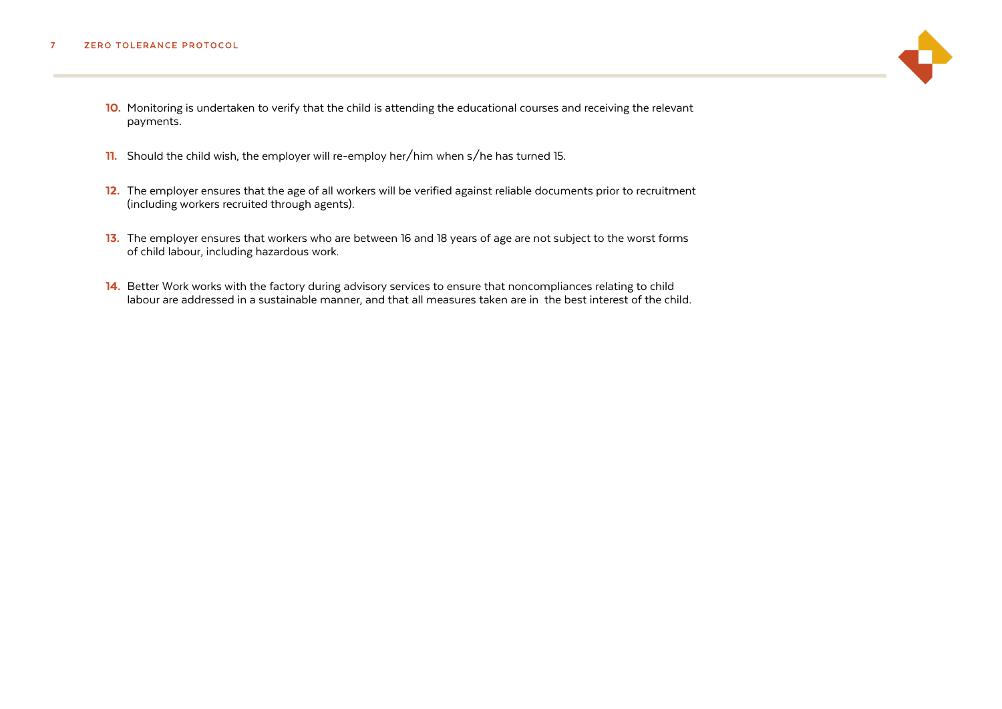- 10. Monitoring is undertaken to verify that the child is attending the educational courses and receiving the relevant payments.
- 11. Should the child wish, the employer will re-employ her/him when s/he has turned 15.
- 12. The employer ensures that the age of all workers will be verified against reliable documents prior to recruitment (including workers recruited through agents).
- 13. The employer ensures that workers who are between 16 and 18 years of age are not subject to the worst forms of child labour, including hazardous work.
- 14. Better Work works with the factory during advisory services to ensure that noncompliances relating to child labour are addressed in a sustainable manner, and that all measures taken are in the best interest of the child.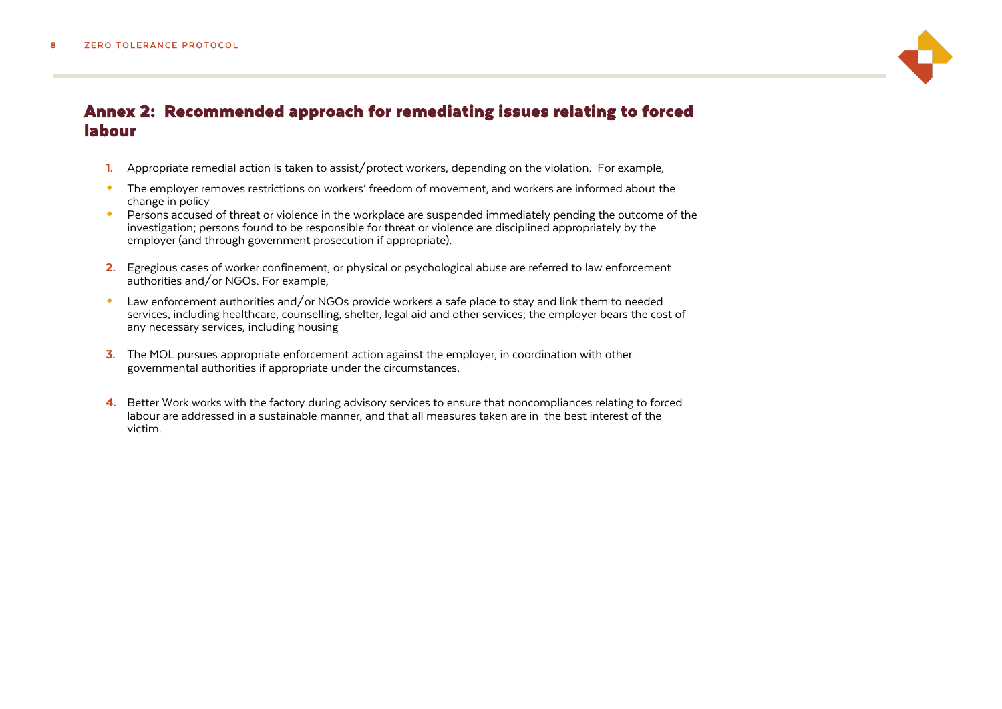

#### Annex 2: Recommended approach for remediating issues relating to forced labour

- 1. Appropriate remedial action is taken to assist/protect workers, depending on the violation. For example,
- The employer removes restrictions on workers' freedom of movement, and workers are informed about the change in policy
- **Persons accused of threat or violence in the workplace are suspended immediately pending the outcome of the** investigation; persons found to be responsible for threat or violence are disciplined appropriately by the employer (and through government prosecution if appropriate).
- 2. Egregious cases of worker confinement, or physical or psychological abuse are referred to law enforcement authorities and/or NGOs. For example,
- $\bullet$  Law enforcement authorities and/or NGOs provide workers a safe place to stay and link them to needed services, including healthcare, counselling, shelter, legal aid and other services; the employer bears the cost of any necessary services, including housing
- 3. The MOL pursues appropriate enforcement action against the employer, in coordination with other governmental authorities if appropriate under the circumstances.
- 4. Better Work works with the factory during advisory services to ensure that noncompliances relating to forced labour are addressed in a sustainable manner, and that all measures taken are in the best interest of the victim.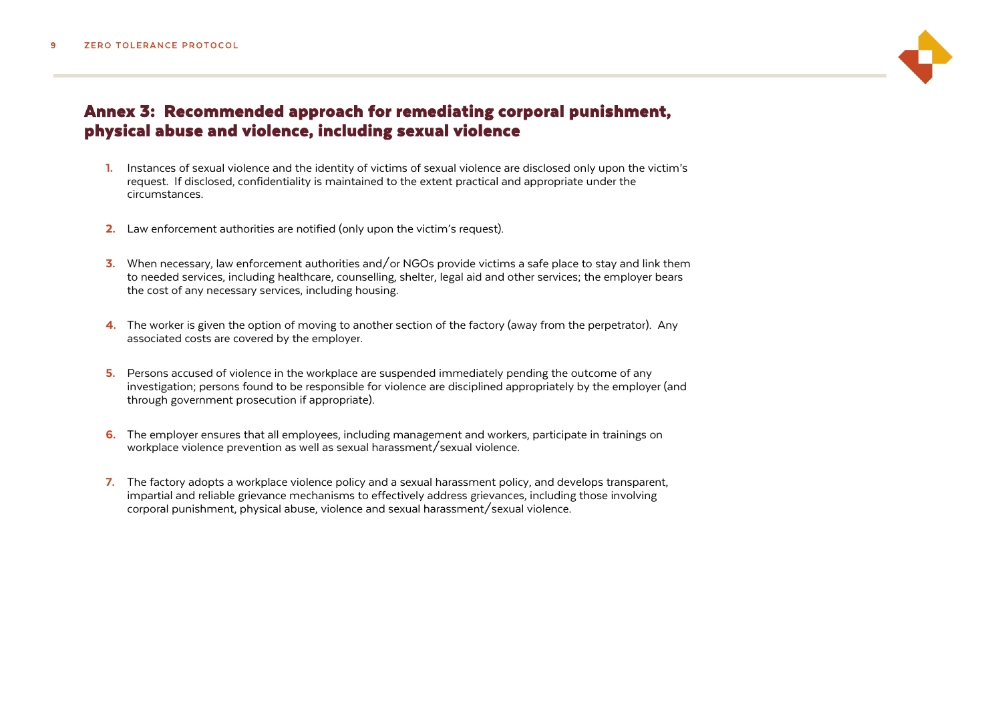

#### Annex 3: Recommended approach for remediating corporal punishment, physical abuse and violence, including sexual violence

- 1. Instances of sexual violence and the identity of victims of sexual violence are disclosed only upon the victim's request. If disclosed, confidentiality is maintained to the extent practical and appropriate under the circumstances.
- 2. Law enforcement authorities are notified (only upon the victim's request).
- 3. When necessary, law enforcement authorities and/or NGOs provide victims a safe place to stay and link them to needed services, including healthcare, counselling, shelter, legal aid and other services; the employer bears the cost of any necessary services, including housing.
- 4. The worker is given the option of moving to another section of the factory (away from the perpetrator). Any associated costs are covered by the employer.
- **5.** Persons accused of violence in the workplace are suspended immediately pending the outcome of any investigation; persons found to be responsible for violence are disciplined appropriately by the employer (and through government prosecution if appropriate).
- 6. The employer ensures that all employees, including management and workers, participate in trainings on workplace violence prevention as well as sexual harassment/sexual violence.
- 7. The factory adopts a workplace violence policy and a sexual harassment policy, and develops transparent, impartial and reliable grievance mechanisms to effectively address grievances, including those involving corporal punishment, physical abuse, violence and sexual harassment/sexual violence.